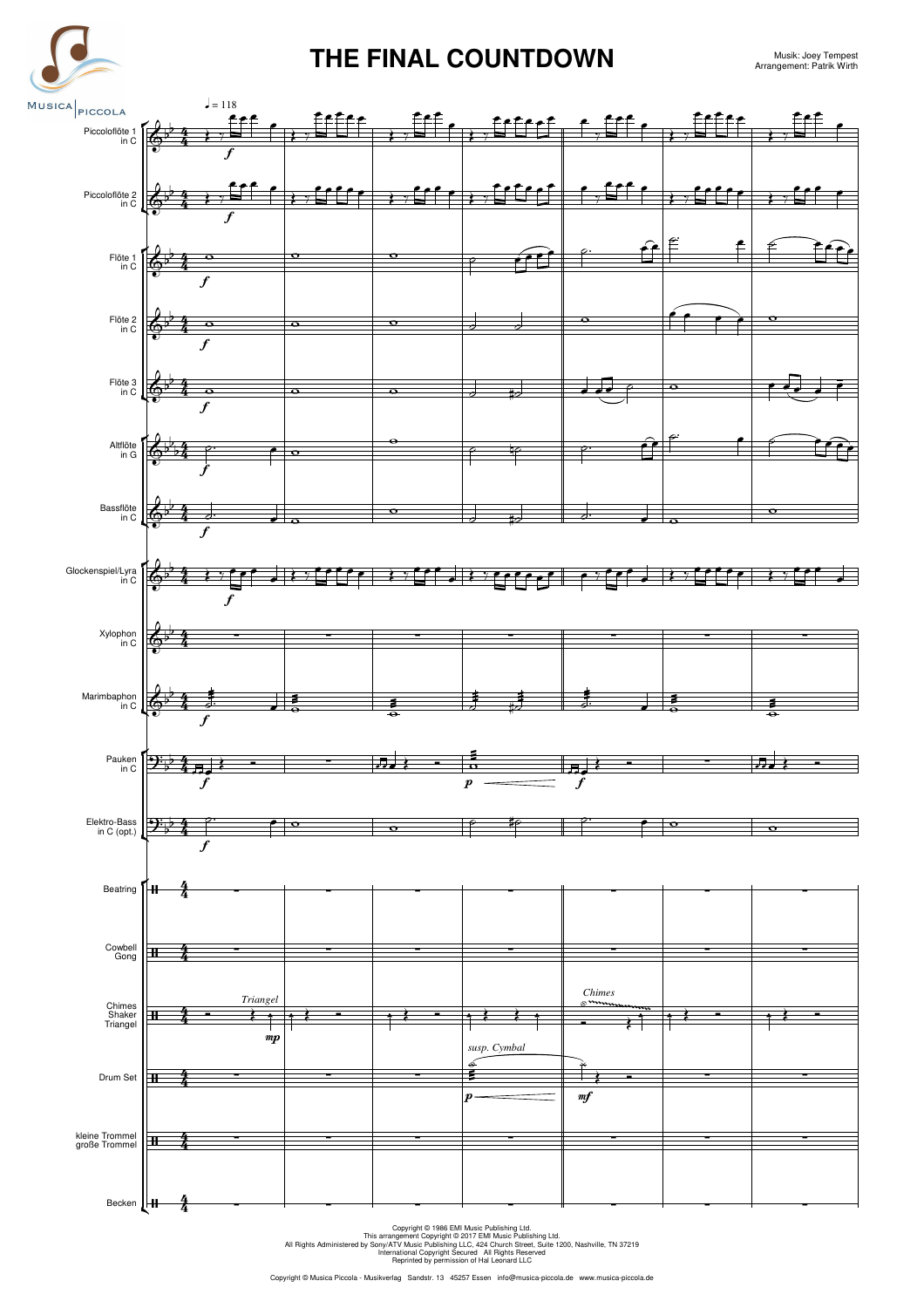## **THE FINAL COUNTDOWN** Musik: Joey Tempest **The FINAL COUNTDOWN**



Copyright © Musica Piccola - Musikverlag Sandstr. 13 45257 Essen info@musica-piccola.de www.musica-piccola.de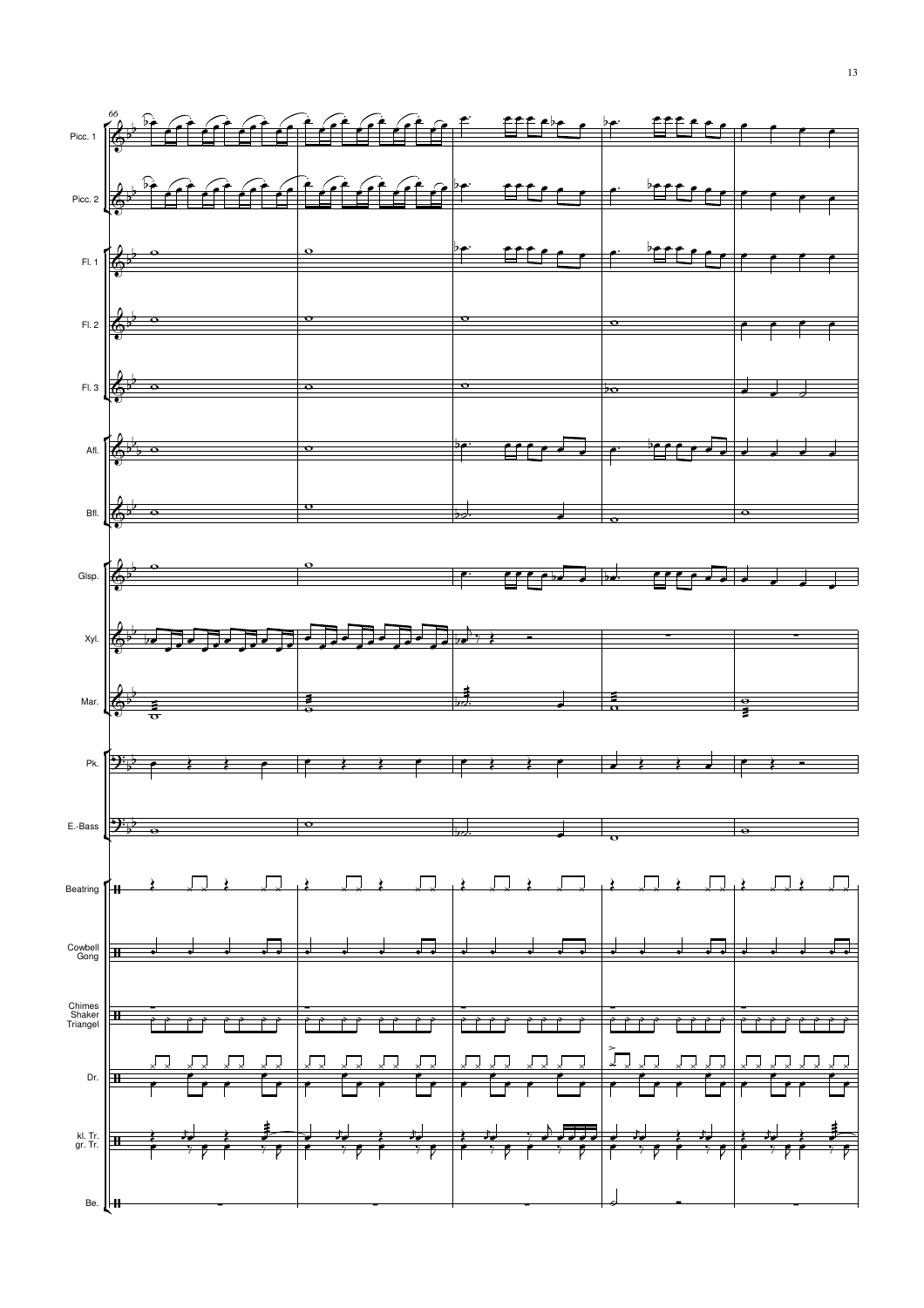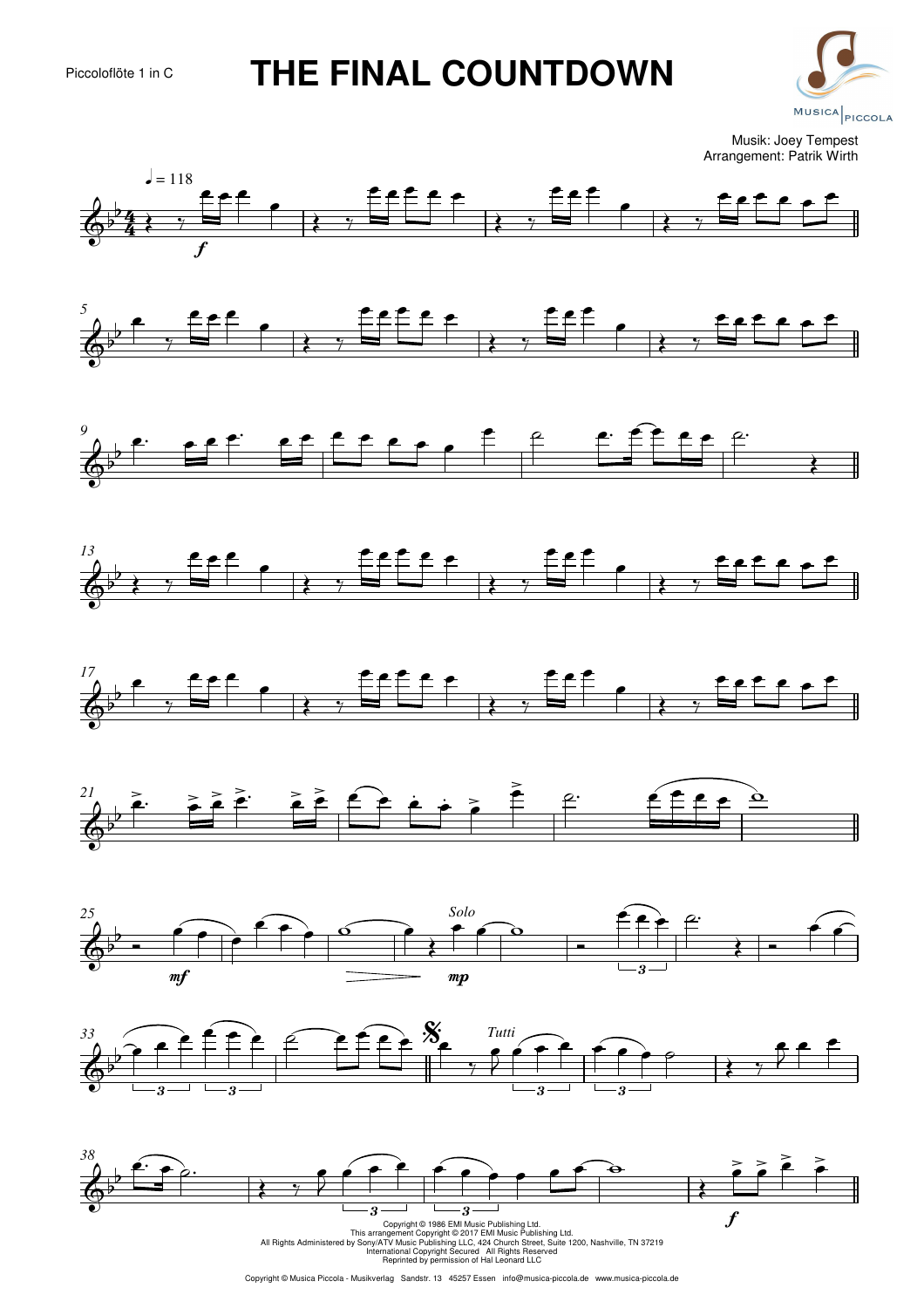## **THE FINAL COUNTDOWN**



Musik: Joey Tempest Arrangement: Patrik Wirth

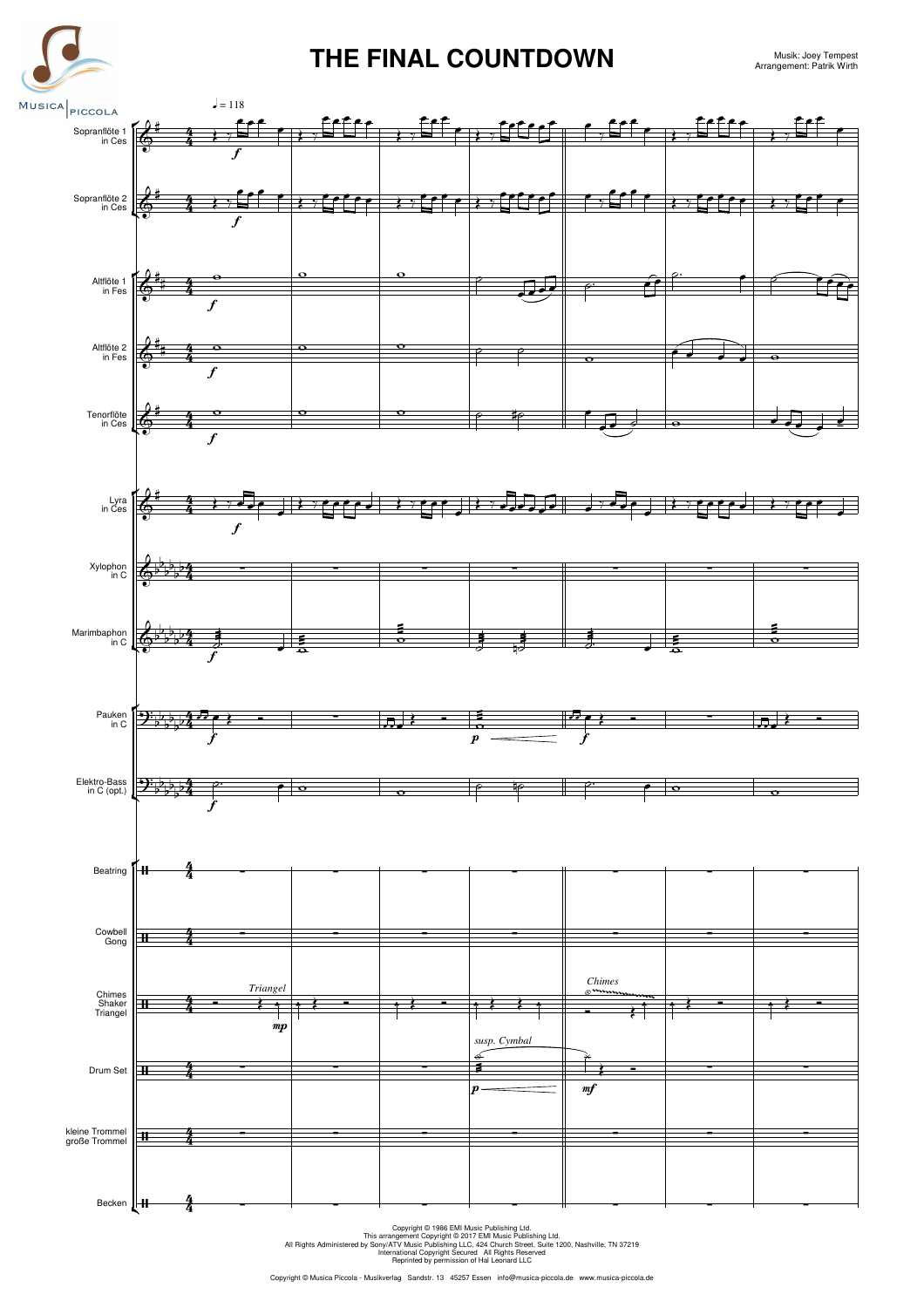## **THE FINAL COUNTDOWN** Musik: Joey Tempest **The FINAL COUNTDOWN**

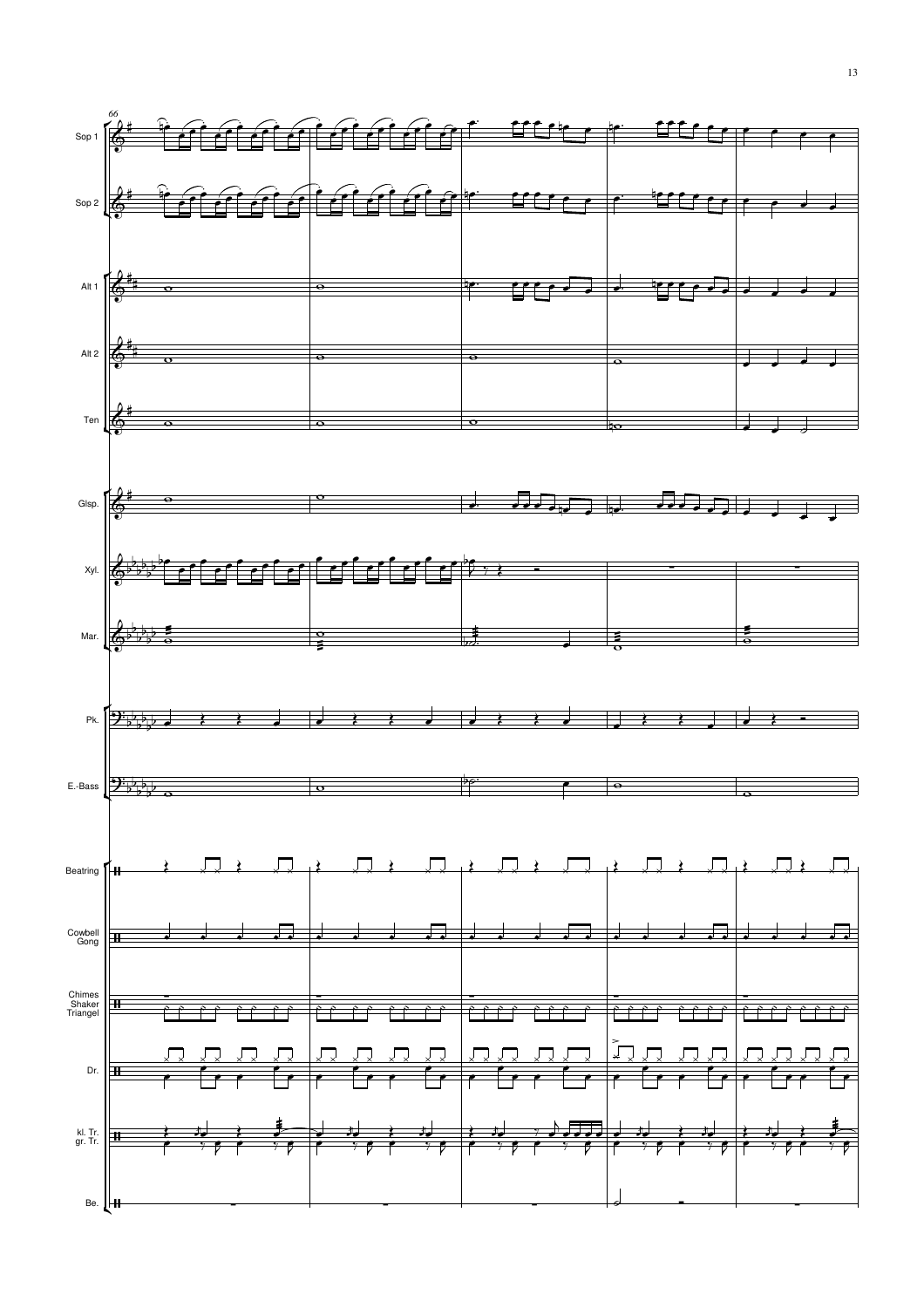